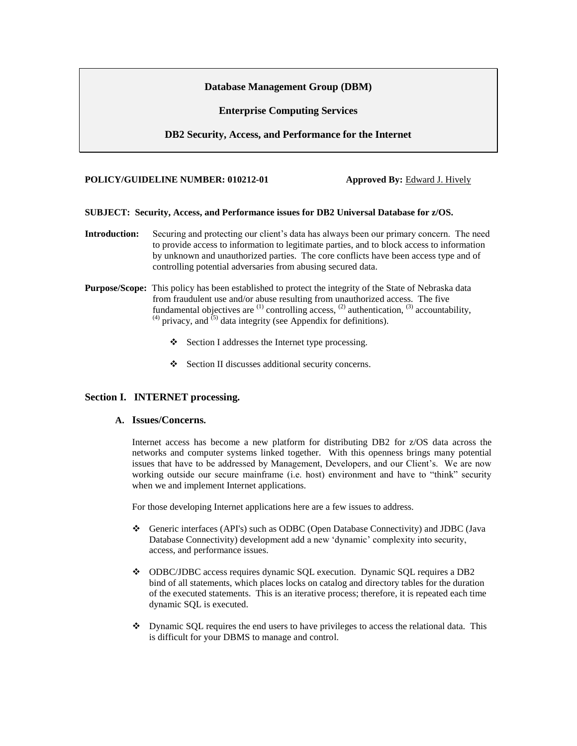### **Database Management Group (DBM)**

**Enterprise Computing Services**

**DB2 Security, Access, and Performance for the Internet** 

#### **POLICY/GUIDELINE NUMBER: 010212-01** Approved By: Edward J. Hively

### **SUBJECT: Security, Access, and Performance issues for DB2 Universal Database for z/OS.**

- **Introduction:** Securing and protecting our client's data has always been our primary concern. The need to provide access to information to legitimate parties, and to block access to information by unknown and unauthorized parties. The core conflicts have been access type and of controlling potential adversaries from abusing secured data.
- **Purpose/Scope:** This policy has been established to protect the integrity of the State of Nebraska data from fraudulent use and/or abuse resulting from unauthorized access. The five fundamental objectives are  $(1)$  controlling access,  $(2)$  authentication,  $(3)$  accountability,  $^{(4)}$  privacy, and  $^{(5)}$  data integrity (see Appendix for definitions).
	- Section I addresses the Internet type processing.
	- Section II discusses additional security concerns.

## **Section I. INTERNET processing.**

#### **A. Issues/Concerns.**

Internet access has become a new platform for distributing DB2 for z/OS data across the networks and computer systems linked together. With this openness brings many potential issues that have to be addressed by Management, Developers, and our Client's. We are now working outside our secure mainframe (i.e. host) environment and have to "think" security when we and implement Internet applications.

For those developing Internet applications here are a few issues to address.

- Generic interfaces (API's) such as ODBC (Open Database Connectivity) and JDBC (Java Database Connectivity) development add a new 'dynamic' complexity into security, access, and performance issues.
- ODBC/JDBC access requires dynamic SQL execution. Dynamic SQL requires a DB2 bind of all statements, which places locks on catalog and directory tables for the duration of the executed statements. This is an iterative process; therefore, it is repeated each time dynamic SQL is executed.
- $\bullet$  Dynamic SQL requires the end users to have privileges to access the relational data. This is difficult for your DBMS to manage and control.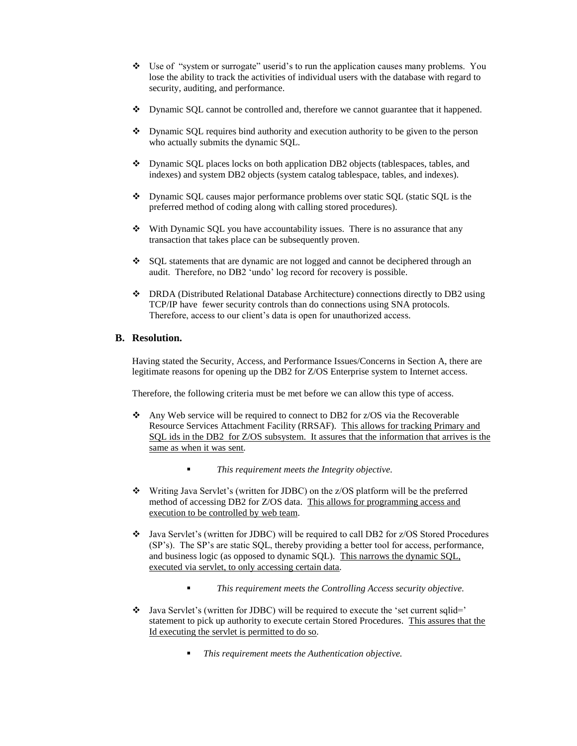- $\div$  Use of "system or surrogate" userid's to run the application causes many problems. You lose the ability to track the activities of individual users with the database with regard to security, auditing, and performance.
- Dynamic SQL cannot be controlled and, therefore we cannot guarantee that it happened.
- Dynamic SQL requires bind authority and execution authority to be given to the person who actually submits the dynamic SQL.
- Dynamic SQL places locks on both application DB2 objects (tablespaces, tables, and indexes) and system DB2 objects (system catalog tablespace, tables, and indexes).
- Dynamic SQL causes major performance problems over static SQL (static SQL is the preferred method of coding along with calling stored procedures).
- $\bullet$  With Dynamic SQL you have accountability issues. There is no assurance that any transaction that takes place can be subsequently proven.
- $\div$  SOL statements that are dynamic are not logged and cannot be deciphered through an audit. Therefore, no DB2 'undo' log record for recovery is possible.
- DRDA (Distributed Relational Database Architecture) connections directly to DB2 using TCP/IP have fewer security controls than do connections using SNA protocols. Therefore, access to our client's data is open for unauthorized access.

### **B. Resolution.**

Having stated the Security, Access, and Performance Issues/Concerns in Section A, there are legitimate reasons for opening up the DB2 for Z/OS Enterprise system to Internet access.

Therefore, the following criteria must be met before we can allow this type of access.

- Any Web service will be required to connect to DB2 for z/OS via the Recoverable Resource Services Attachment Facility (RRSAF). This allows for tracking Primary and SQL ids in the DB2 for Z/OS subsystem. It assures that the information that arrives is the same as when it was sent*.*
	- *This requirement meets the Integrity objective.*
- Writing Java Servlet's (written for JDBC) on the z/OS platform will be the preferred method of accessing DB2 for Z/OS data. This allows for programming access and execution to be controlled by web team.
- Java Servlet's (written for JDBC) will be required to call DB2 for z/OS Stored Procedures (SP's). The SP's are static SQL, thereby providing a better tool for access, performance, and business logic (as opposed to dynamic SQL). This narrows the dynamic SQL, executed via servlet, to only accessing certain data*.* 
	- *This requirement meets the Controlling Access security objective.*
- Java Servlet's (written for JDBC) will be required to execute the 'set current sqlid=' statement to pick up authority to execute certain Stored Procedures. This assures that the Id executing the servlet is permitted to do so*.*
	- *This requirement meets the Authentication objective.*